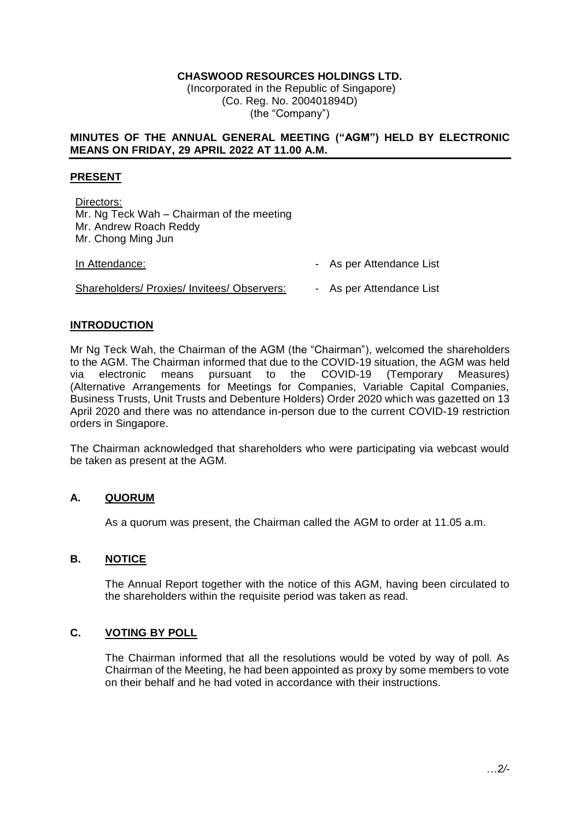# **CHASWOOD RESOURCES HOLDINGS LTD.**

(Incorporated in the Republic of Singapore) (Co. Reg. No. 200401894D) (the "Company")

### **MINUTES OF THE ANNUAL GENERAL MEETING ("AGM") HELD BY ELECTRONIC MEANS ON FRIDAY, 29 APRIL 2022 AT 11.00 A.M.**

### **PRESENT**

Directors: Mr. Ng Teck Wah – Chairman of the meeting Mr. Andrew Roach Reddy Mr. Chong Ming Jun

| In Attendance:                              | - As per Attendance List |
|---------------------------------------------|--------------------------|
| Shareholders/ Proxies/ Invitees/ Observers: | - As per Attendance List |

## **INTRODUCTION**

Mr Ng Teck Wah, the Chairman of the AGM (the "Chairman"), welcomed the shareholders to the AGM. The Chairman informed that due to the COVID-19 situation, the AGM was held via electronic means pursuant to the COVID-19 (Temporary Measures) (Alternative Arrangements for Meetings for Companies, Variable Capital Companies, Business Trusts, Unit Trusts and Debenture Holders) Order 2020 which was gazetted on 13 April 2020 and there was no attendance in-person due to the current COVID-19 restriction orders in Singapore.

The Chairman acknowledged that shareholders who were participating via webcast would be taken as present at the AGM.

## **A. QUORUM**

As a quorum was present, the Chairman called the AGM to order at 11.05 a.m.

## **B. NOTICE**

The Annual Report together with the notice of this AGM, having been circulated to the shareholders within the requisite period was taken as read.

## **C. VOTING BY POLL**

The Chairman informed that all the resolutions would be voted by way of poll. As Chairman of the Meeting, he had been appointed as proxy by some members to vote on their behalf and he had voted in accordance with their instructions.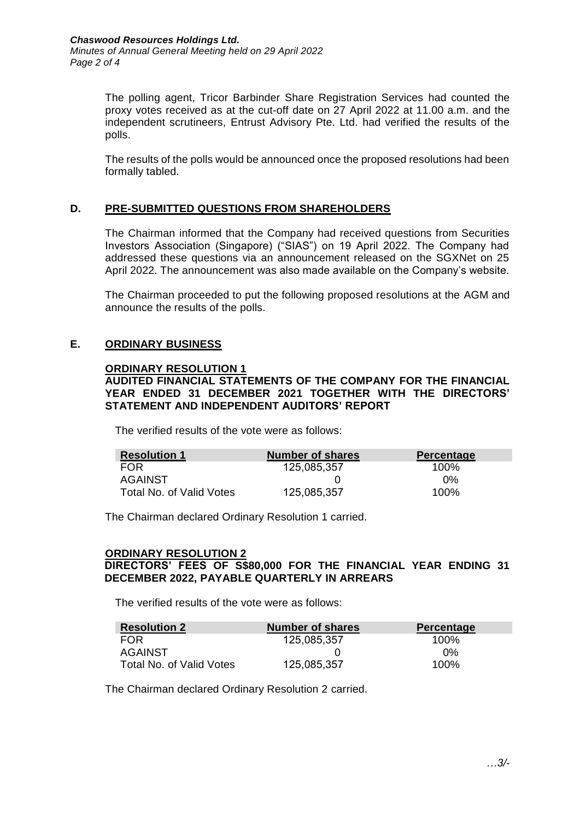The polling agent, Tricor Barbinder Share Registration Services had counted the proxy votes received as at the cut-off date on 27 April 2022 at 11.00 a.m. and the independent scrutineers, Entrust Advisory Pte. Ltd. had verified the results of the polls.

The results of the polls would be announced once the proposed resolutions had been formally tabled.

## **D. PRE-SUBMITTED QUESTIONS FROM SHAREHOLDERS**

The Chairman informed that the Company had received questions from Securities Investors Association (Singapore) ("SIAS") on 19 April 2022. The Company had addressed these questions via an announcement released on the SGXNet on 25 April 2022. The announcement was also made available on the Company's website.

The Chairman proceeded to put the following proposed resolutions at the AGM and announce the results of the polls.

## **E. ORDINARY BUSINESS**

#### **ORDINARY RESOLUTION 1**

**AUDITED FINANCIAL STATEMENTS OF THE COMPANY FOR THE FINANCIAL YEAR ENDED 31 DECEMBER 2021 TOGETHER WITH THE DIRECTORS' STATEMENT AND INDEPENDENT AUDITORS' REPORT** 

The verified results of the vote were as follows:

| <b>Resolution 1</b>      | <b>Number of shares</b> | Percentage |
|--------------------------|-------------------------|------------|
| <b>FOR</b>               | 125,085,357             | 100%       |
| AGAINST                  |                         | 0%         |
| Total No. of Valid Votes | 125,085,357             | 100%       |

The Chairman declared Ordinary Resolution 1 carried.

#### **ORDINARY RESOLUTION 2**

## **DIRECTORS' FEES OF S\$80,000 FOR THE FINANCIAL YEAR ENDING 31 DECEMBER 2022, PAYABLE QUARTERLY IN ARREARS**

The verified results of the vote were as follows:

| <b>Resolution 2</b>      | <b>Number of shares</b> | Percentage |
|--------------------------|-------------------------|------------|
| <b>FOR</b>               | 125,085,357             | 100%       |
| AGAINST                  |                         | $0\%$      |
| Total No. of Valid Votes | 125,085,357             | 100%       |

The Chairman declared Ordinary Resolution 2 carried.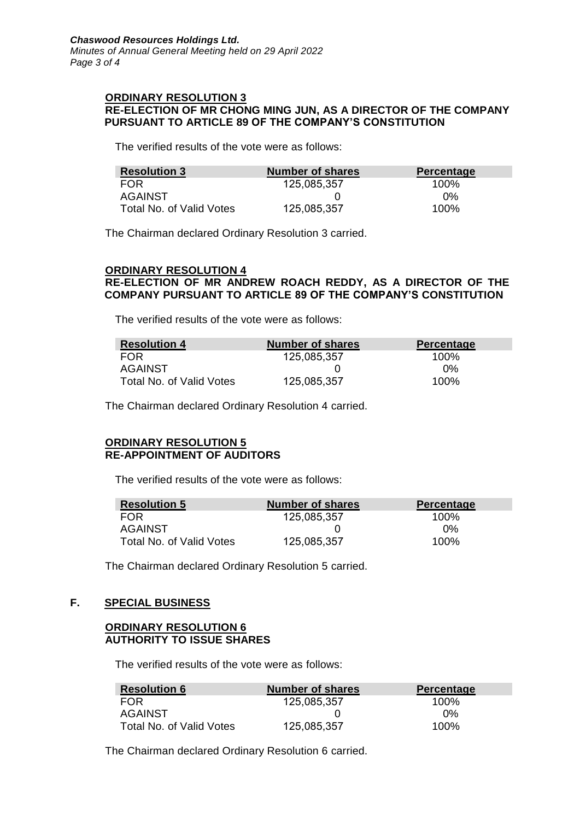#### **ORDINARY RESOLUTION 3 RE-ELECTION OF MR CHONG MING JUN, AS A DIRECTOR OF THE COMPANY PURSUANT TO ARTICLE 89 OF THE COMPANY'S CONSTITUTION**

The verified results of the vote were as follows:

| <b>Resolution 3</b>      | <b>Number of shares</b> | <b>Percentage</b> |
|--------------------------|-------------------------|-------------------|
| <b>FOR</b>               | 125,085,357             | 100%              |
| AGAINST                  |                         | $0\%$             |
| Total No. of Valid Votes | 125,085,357             | $100\%$           |

The Chairman declared Ordinary Resolution 3 carried.

#### **ORDINARY RESOLUTION 4**

## **RE-ELECTION OF MR ANDREW ROACH REDDY, AS A DIRECTOR OF THE COMPANY PURSUANT TO ARTICLE 89 OF THE COMPANY'S CONSTITUTION**

The verified results of the vote were as follows:

| <b>Resolution 4</b>      | Number of shares | <b>Percentage</b> |
|--------------------------|------------------|-------------------|
| <b>FOR</b>               | 125,085,357      | 100 <sup>%</sup>  |
| AGAINST                  |                  | $0\%$             |
| Total No. of Valid Votes | 125,085,357      | 100%              |

The Chairman declared Ordinary Resolution 4 carried.

#### **ORDINARY RESOLUTION 5 RE-APPOINTMENT OF AUDITORS**

The verified results of the vote were as follows:

| <b>Resolution 5</b>      | <b>Number of shares</b> | <b>Percentage</b> |
|--------------------------|-------------------------|-------------------|
| <b>FOR</b>               | 125,085,357             | 100%              |
| AGAINST                  |                         | በ%                |
| Total No. of Valid Votes | 125,085,357             | 100%              |

The Chairman declared Ordinary Resolution 5 carried.

## **F. SPECIAL BUSINESS**

## **ORDINARY RESOLUTION 6 AUTHORITY TO ISSUE SHARES**

The verified results of the vote were as follows:

| <b>Resolution 6</b>      | <b>Number of shares</b> | <b>Percentage</b> |
|--------------------------|-------------------------|-------------------|
| <b>FOR</b>               | 125,085,357             | 100%              |
| AGAINST                  |                         | 0%                |
| Total No. of Valid Votes | 125,085,357             | $100\%$           |

The Chairman declared Ordinary Resolution 6 carried.